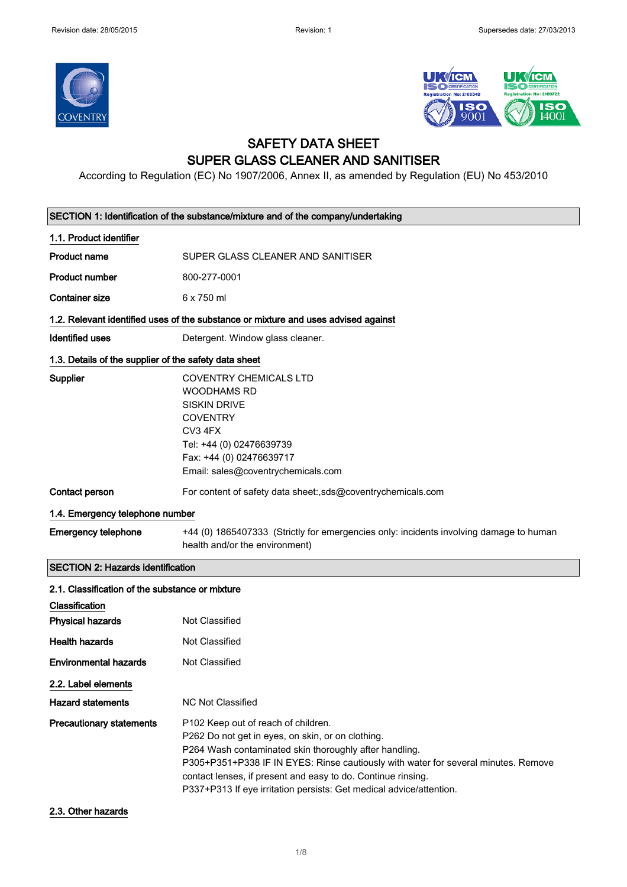



### SAFETY DATA SHEET SUPER GLASS CLEANER AND SANITISER

According to Regulation (EC) No 1907/2006, Annex II, as amended by Regulation (EU) No 453/2010

| SECTION 1: Identification of the substance/mixture and of the company/undertaking |                                                                                                                                                                                                                                                                                                                                                                                 |  |
|-----------------------------------------------------------------------------------|---------------------------------------------------------------------------------------------------------------------------------------------------------------------------------------------------------------------------------------------------------------------------------------------------------------------------------------------------------------------------------|--|
| 1.1. Product identifier                                                           |                                                                                                                                                                                                                                                                                                                                                                                 |  |
| <b>Product name</b>                                                               | SUPER GLASS CLEANER AND SANITISER                                                                                                                                                                                                                                                                                                                                               |  |
| <b>Product number</b>                                                             | 800-277-0001                                                                                                                                                                                                                                                                                                                                                                    |  |
| <b>Container size</b>                                                             | 6 x 750 ml                                                                                                                                                                                                                                                                                                                                                                      |  |
|                                                                                   | 1.2. Relevant identified uses of the substance or mixture and uses advised against                                                                                                                                                                                                                                                                                              |  |
| Identified uses                                                                   | Detergent. Window glass cleaner.                                                                                                                                                                                                                                                                                                                                                |  |
| 1.3. Details of the supplier of the safety data sheet                             |                                                                                                                                                                                                                                                                                                                                                                                 |  |
| Supplier                                                                          | <b>COVENTRY CHEMICALS LTD</b><br><b>WOODHAMS RD</b><br><b>SISKIN DRIVE</b><br><b>COVENTRY</b><br>CV3 4FX<br>Tel: +44 (0) 02476639739<br>Fax: +44 (0) 02476639717<br>Email: sales@coventrychemicals.com                                                                                                                                                                          |  |
| <b>Contact person</b>                                                             | For content of safety data sheet:,sds@coventrychemicals.com                                                                                                                                                                                                                                                                                                                     |  |
| 1.4. Emergency telephone number                                                   |                                                                                                                                                                                                                                                                                                                                                                                 |  |
| <b>Emergency telephone</b>                                                        | +44 (0) 1865407333 (Strictly for emergencies only: incidents involving damage to human<br>health and/or the environment)                                                                                                                                                                                                                                                        |  |
| <b>SECTION 2: Hazards identification</b>                                          |                                                                                                                                                                                                                                                                                                                                                                                 |  |
| 2.1. Classification of the substance or mixture                                   |                                                                                                                                                                                                                                                                                                                                                                                 |  |
| Classification                                                                    |                                                                                                                                                                                                                                                                                                                                                                                 |  |
| <b>Physical hazards</b>                                                           | Not Classified                                                                                                                                                                                                                                                                                                                                                                  |  |
| <b>Health hazards</b>                                                             | Not Classified                                                                                                                                                                                                                                                                                                                                                                  |  |
| <b>Environmental hazards</b>                                                      | Not Classified                                                                                                                                                                                                                                                                                                                                                                  |  |
| 2.2. Label elements                                                               |                                                                                                                                                                                                                                                                                                                                                                                 |  |
| <b>Hazard statements</b>                                                          | <b>NC Not Classified</b>                                                                                                                                                                                                                                                                                                                                                        |  |
| <b>Precautionary statements</b>                                                   | P102 Keep out of reach of children.<br>P262 Do not get in eyes, on skin, or on clothing.<br>P264 Wash contaminated skin thoroughly after handling.<br>P305+P351+P338 IF IN EYES: Rinse cautiously with water for several minutes. Remove<br>contact lenses, if present and easy to do. Continue rinsing.<br>P337+P313 If eye irritation persists: Get medical advice/attention. |  |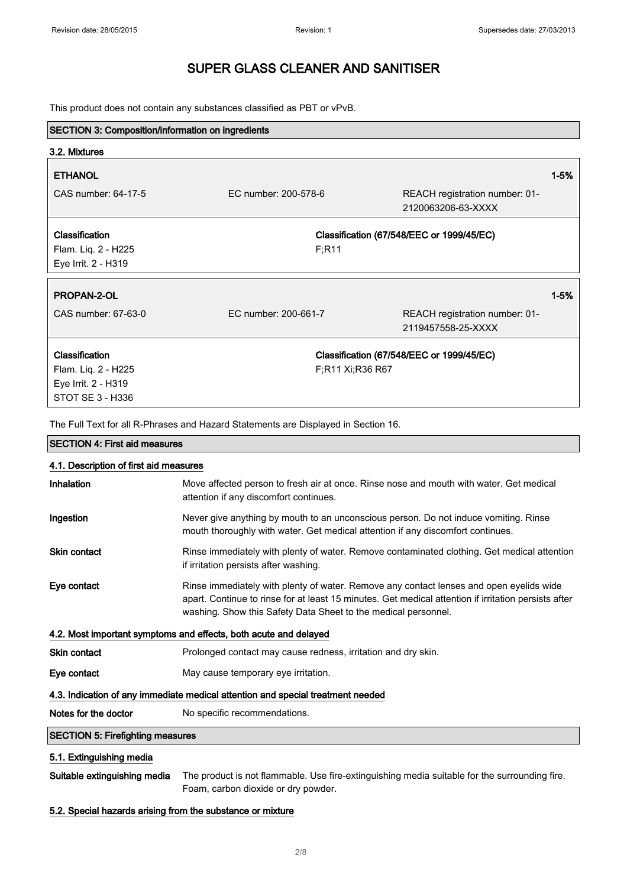This product does not contain any substances classified as PBT or vPvB.

| <b>SECTION 3: Composition/information on ingredients</b>                         |                      |                  |                                                      |          |
|----------------------------------------------------------------------------------|----------------------|------------------|------------------------------------------------------|----------|
| 3.2. Mixtures                                                                    |                      |                  |                                                      |          |
| <b>ETHANOL</b>                                                                   |                      |                  |                                                      | $1 - 5%$ |
| CAS number: 64-17-5                                                              | EC number: 200-578-6 |                  | REACH registration number: 01-<br>2120063206-63-XXXX |          |
| <b>Classification</b><br>Flam. Liq. 2 - H225<br>Eye Irrit. 2 - H319              |                      | F:R11            | Classification (67/548/EEC or 1999/45/EC)            |          |
| <b>PROPAN-2-OL</b>                                                               |                      |                  |                                                      | $1 - 5%$ |
| CAS number: 67-63-0                                                              | EC number: 200-661-7 |                  | REACH registration number: 01-<br>2119457558-25-XXXX |          |
| Classification<br>Flam. Liq. 2 - H225<br>Eye Irrit. 2 - H319<br>STOT SE 3 - H336 |                      | F:R11 Xi:R36 R67 | Classification (67/548/EEC or 1999/45/EC)            |          |

The Full Text for all R-Phrases and Hazard Statements are Displayed in Section 16.

| <b>SECTION 4: First aid measures</b>                                            |                                                                                                                                                                                                                                                                   |  |
|---------------------------------------------------------------------------------|-------------------------------------------------------------------------------------------------------------------------------------------------------------------------------------------------------------------------------------------------------------------|--|
| 4.1. Description of first aid measures                                          |                                                                                                                                                                                                                                                                   |  |
| Inhalation                                                                      | Move affected person to fresh air at once. Rinse nose and mouth with water. Get medical<br>attention if any discomfort continues.                                                                                                                                 |  |
| Ingestion                                                                       | Never give anything by mouth to an unconscious person. Do not induce vomiting. Rinse<br>mouth thoroughly with water. Get medical attention if any discomfort continues.                                                                                           |  |
| <b>Skin contact</b>                                                             | Rinse immediately with plenty of water. Remove contaminated clothing. Get medical attention<br>if irritation persists after washing.                                                                                                                              |  |
| Eye contact                                                                     | Rinse immediately with plenty of water. Remove any contact lenses and open eyelids wide<br>apart. Continue to rinse for at least 15 minutes. Get medical attention if irritation persists after<br>washing. Show this Safety Data Sheet to the medical personnel. |  |
|                                                                                 | 4.2. Most important symptoms and effects, both acute and delayed                                                                                                                                                                                                  |  |
| <b>Skin contact</b>                                                             | Prolonged contact may cause redness, irritation and dry skin.                                                                                                                                                                                                     |  |
| Eye contact                                                                     | May cause temporary eye irritation.                                                                                                                                                                                                                               |  |
| 4.3. Indication of any immediate medical attention and special treatment needed |                                                                                                                                                                                                                                                                   |  |
| Notes for the doctor                                                            | No specific recommendations.                                                                                                                                                                                                                                      |  |
| <b>SECTION 5: Firefighting measures</b>                                         |                                                                                                                                                                                                                                                                   |  |
| 5.1. Extinguishing media                                                        |                                                                                                                                                                                                                                                                   |  |

Suitable extinguishing media The product is not flammable. Use fire-extinguishing media suitable for the surrounding fire. Foam, carbon dioxide or dry powder.

#### 5.2. Special hazards arising from the substance or mixture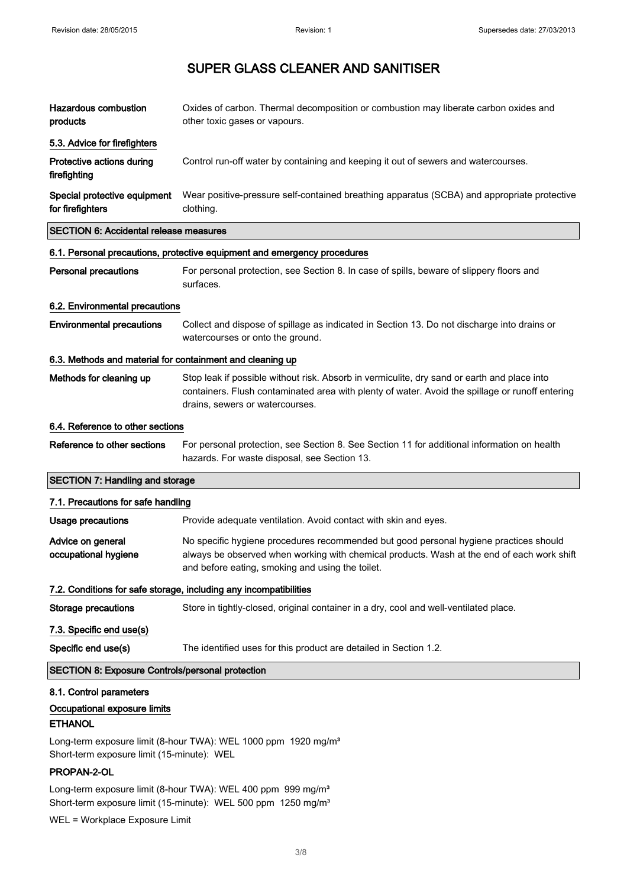| <b>Hazardous combustion</b><br>products                   | Oxides of carbon. Thermal decomposition or combustion may liberate carbon oxides and<br>other toxic gases or vapours.                                                                                                                   |
|-----------------------------------------------------------|-----------------------------------------------------------------------------------------------------------------------------------------------------------------------------------------------------------------------------------------|
| 5.3. Advice for firefighters                              |                                                                                                                                                                                                                                         |
| Protective actions during<br>firefighting                 | Control run-off water by containing and keeping it out of sewers and watercourses.                                                                                                                                                      |
| Special protective equipment<br>for firefighters          | Wear positive-pressure self-contained breathing apparatus (SCBA) and appropriate protective<br>clothing.                                                                                                                                |
| SECTION 6: Accidental release measures                    |                                                                                                                                                                                                                                         |
|                                                           | 6.1. Personal precautions, protective equipment and emergency procedures                                                                                                                                                                |
| Personal precautions                                      | For personal protection, see Section 8. In case of spills, beware of slippery floors and<br>surfaces.                                                                                                                                   |
| 6.2. Environmental precautions                            |                                                                                                                                                                                                                                         |
| <b>Environmental precautions</b>                          | Collect and dispose of spillage as indicated in Section 13. Do not discharge into drains or<br>watercourses or onto the ground.                                                                                                         |
| 6.3. Methods and material for containment and cleaning up |                                                                                                                                                                                                                                         |
| Methods for cleaning up                                   | Stop leak if possible without risk. Absorb in vermiculite, dry sand or earth and place into<br>containers. Flush contaminated area with plenty of water. Avoid the spillage or runoff entering<br>drains, sewers or watercourses.       |
| 6.4. Reference to other sections                          |                                                                                                                                                                                                                                         |
| Reference to other sections                               | For personal protection, see Section 8. See Section 11 for additional information on health<br>hazards. For waste disposal, see Section 13.                                                                                             |
| <b>SECTION 7: Handling and storage</b>                    |                                                                                                                                                                                                                                         |
| 7.1. Precautions for safe handling                        |                                                                                                                                                                                                                                         |
| <b>Usage precautions</b>                                  | Provide adequate ventilation. Avoid contact with skin and eyes.                                                                                                                                                                         |
| Advice on general<br>occupational hygiene                 | No specific hygiene procedures recommended but good personal hygiene practices should<br>always be observed when working with chemical products. Wash at the end of each work shift<br>and before eating, smoking and using the toilet. |
|                                                           | 7.2. Conditions for safe storage, including any incompatibilities                                                                                                                                                                       |
| <b>Storage precautions</b>                                | Store in tightly-closed, original container in a dry, cool and well-ventilated place.                                                                                                                                                   |
| 7.3. Specific end use(s)                                  |                                                                                                                                                                                                                                         |
| Specific end use(s)                                       | The identified uses for this product are detailed in Section 1.2.                                                                                                                                                                       |
| <b>SECTION 8: Exposure Controls/personal protection</b>   |                                                                                                                                                                                                                                         |
| 8.1. Control parameters                                   |                                                                                                                                                                                                                                         |
| Occupational exposure limits                              |                                                                                                                                                                                                                                         |

#### ETHANOL

Long-term exposure limit (8-hour TWA): WEL 1000 ppm 1920 mg/m<sup>3</sup> Short-term exposure limit (15-minute): WEL

#### PROPAN-2-OL

Long-term exposure limit (8-hour TWA): WEL 400 ppm 999 mg/m<sup>3</sup> Short-term exposure limit (15-minute): WEL 500 ppm 1250 mg/m<sup>3</sup>

WEL = Workplace Exposure Limit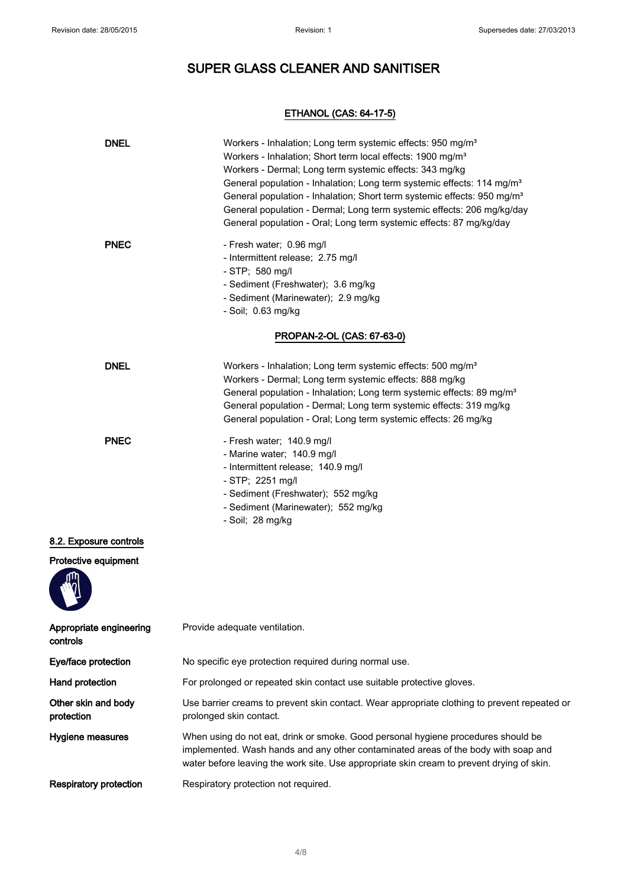### ETHANOL (CAS: 64-17-5)

| <b>DNEL</b>                         | Workers - Inhalation; Long term systemic effects: 950 mg/m <sup>3</sup><br>Workers - Inhalation; Short term local effects: 1900 mg/m <sup>3</sup><br>Workers - Dermal; Long term systemic effects: 343 mg/kg<br>General population - Inhalation; Long term systemic effects: 114 mg/m <sup>3</sup><br>General population - Inhalation; Short term systemic effects: 950 mg/m <sup>3</sup><br>General population - Dermal; Long term systemic effects: 206 mg/kg/day<br>General population - Oral; Long term systemic effects: 87 mg/kg/day |  |
|-------------------------------------|--------------------------------------------------------------------------------------------------------------------------------------------------------------------------------------------------------------------------------------------------------------------------------------------------------------------------------------------------------------------------------------------------------------------------------------------------------------------------------------------------------------------------------------------|--|
| <b>PNEC</b>                         | - Fresh water; 0.96 mg/l<br>- Intermittent release; 2.75 mg/l<br>- STP; 580 mg/l<br>- Sediment (Freshwater); 3.6 mg/kg<br>- Sediment (Marinewater); 2.9 mg/kg<br>- Soil; 0.63 mg/kg                                                                                                                                                                                                                                                                                                                                                        |  |
|                                     | PROPAN-2-OL (CAS: 67-63-0)                                                                                                                                                                                                                                                                                                                                                                                                                                                                                                                 |  |
| <b>DNEL</b>                         | Workers - Inhalation; Long term systemic effects: 500 mg/m <sup>3</sup><br>Workers - Dermal; Long term systemic effects: 888 mg/kg<br>General population - Inhalation; Long term systemic effects: 89 mg/m <sup>3</sup><br>General population - Dermal; Long term systemic effects: 319 mg/kg<br>General population - Oral; Long term systemic effects: 26 mg/kg                                                                                                                                                                           |  |
| <b>PNEC</b>                         | - Fresh water; 140.9 mg/l<br>- Marine water; 140.9 mg/l<br>- Intermittent release; 140.9 mg/l<br>- STP; 2251 mg/l<br>- Sediment (Freshwater); 552 mg/kg<br>- Sediment (Marinewater); 552 mg/kg<br>- Soil; 28 mg/kg                                                                                                                                                                                                                                                                                                                         |  |
| 8.2. Exposure controls              |                                                                                                                                                                                                                                                                                                                                                                                                                                                                                                                                            |  |
| Protective equipment                |                                                                                                                                                                                                                                                                                                                                                                                                                                                                                                                                            |  |
| Appropriate engineering<br>controls | Provide adequate ventilation.                                                                                                                                                                                                                                                                                                                                                                                                                                                                                                              |  |
| Eye/face protection                 | No specific eye protection required during normal use.                                                                                                                                                                                                                                                                                                                                                                                                                                                                                     |  |
| Hand protection                     | For prolonged or repeated skin contact use suitable protective gloves.                                                                                                                                                                                                                                                                                                                                                                                                                                                                     |  |
| Other skin and body<br>protection   | Use barrier creams to prevent skin contact. Wear appropriate clothing to prevent repeated or<br>prolonged skin contact.                                                                                                                                                                                                                                                                                                                                                                                                                    |  |
| Hygiene measures                    | When using do not eat, drink or smoke. Good personal hygiene procedures should be<br>implemented. Wash hands and any other contaminated areas of the body with soap and<br>water before leaving the work site. Use appropriate skin cream to prevent drying of skin.                                                                                                                                                                                                                                                                       |  |
| <b>Respiratory protection</b>       | Respiratory protection not required.                                                                                                                                                                                                                                                                                                                                                                                                                                                                                                       |  |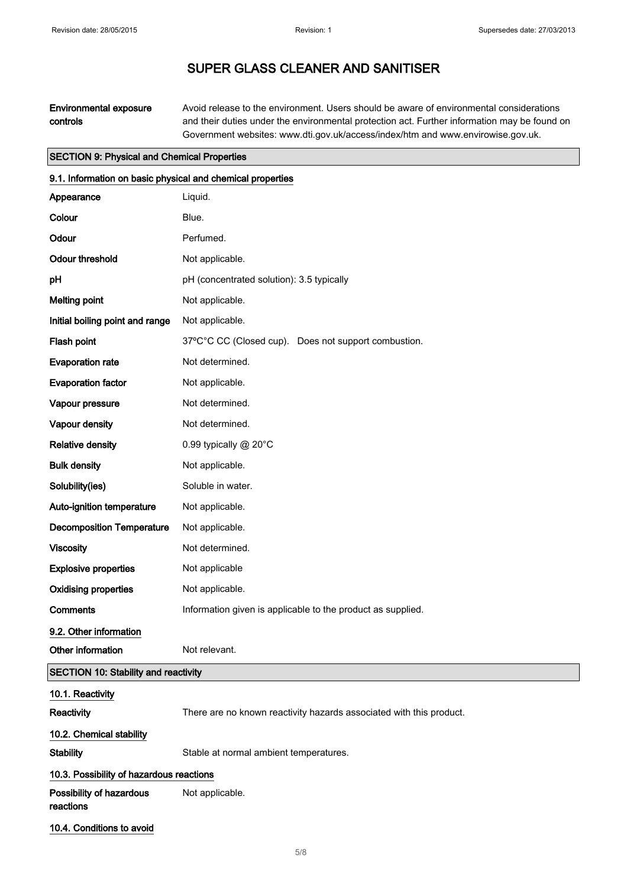Environmental exposure controls Avoid release to the environment. Users should be aware of environmental considerations and their duties under the environmental protection act. Further information may be found on Government websites: www.dti.gov.uk/access/index/htm and www.envirowise.gov.uk.

#### SECTION 9: Physical and Chemical Properties

| 9.1. Information on basic physical and chemical properties |                                                                     |
|------------------------------------------------------------|---------------------------------------------------------------------|
| Appearance                                                 | Liquid.                                                             |
| Colour                                                     | Blue.                                                               |
| Odour                                                      | Perfumed.                                                           |
| <b>Odour threshold</b>                                     | Not applicable.                                                     |
| pH                                                         | pH (concentrated solution): 3.5 typically                           |
| <b>Melting point</b>                                       | Not applicable.                                                     |
| Initial boiling point and range                            | Not applicable.                                                     |
| Flash point                                                | 37°C°C CC (Closed cup). Does not support combustion.                |
| <b>Evaporation rate</b>                                    | Not determined.                                                     |
| <b>Evaporation factor</b>                                  | Not applicable.                                                     |
| Vapour pressure                                            | Not determined.                                                     |
| Vapour density                                             | Not determined.                                                     |
| <b>Relative density</b>                                    | 0.99 typically @ 20°C                                               |
| <b>Bulk density</b>                                        | Not applicable.                                                     |
| Solubility(ies)                                            | Soluble in water.                                                   |
| Auto-ignition temperature                                  | Not applicable.                                                     |
| <b>Decomposition Temperature</b>                           | Not applicable.                                                     |
| <b>Viscosity</b>                                           | Not determined.                                                     |
| <b>Explosive properties</b>                                | Not applicable                                                      |
| <b>Oxidising properties</b>                                | Not applicable.                                                     |
| <b>Comments</b>                                            | Information given is applicable to the product as supplied.         |
| 9.2. Other information                                     |                                                                     |
| Other information                                          | Not relevant.                                                       |
| <b>SECTION 10: Stability and reactivity</b>                |                                                                     |
| 10.1. Reactivity                                           |                                                                     |
| Reactivity                                                 | There are no known reactivity hazards associated with this product. |
| 10.2. Chemical stability                                   |                                                                     |
| <b>Stability</b>                                           | Stable at normal ambient temperatures.                              |
| 10.3. Possibility of hazardous reactions                   |                                                                     |
| Possibility of hazardous<br>reactions                      | Not applicable.                                                     |

10.4. Conditions to avoid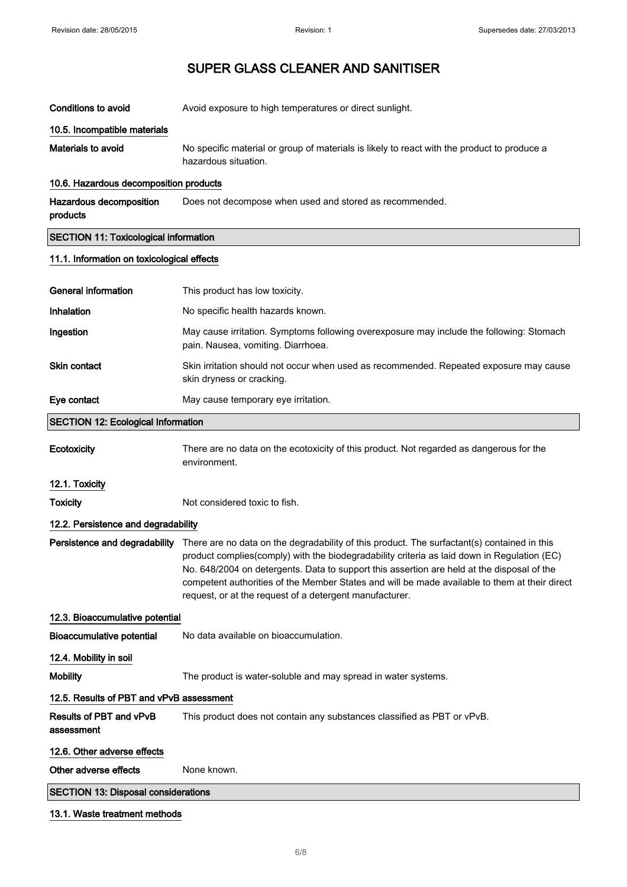Conditions to avoid **Avoid exposure to high temperatures or direct sunlight.** 

| 10.5. Incompatible materials                 |                                                                                                                                                                                                                                                                                                                                                                                                                                                      |
|----------------------------------------------|------------------------------------------------------------------------------------------------------------------------------------------------------------------------------------------------------------------------------------------------------------------------------------------------------------------------------------------------------------------------------------------------------------------------------------------------------|
| <b>Materials to avoid</b>                    | No specific material or group of materials is likely to react with the product to produce a<br>hazardous situation.                                                                                                                                                                                                                                                                                                                                  |
| 10.6. Hazardous decomposition products       |                                                                                                                                                                                                                                                                                                                                                                                                                                                      |
| Hazardous decomposition<br>products          | Does not decompose when used and stored as recommended.                                                                                                                                                                                                                                                                                                                                                                                              |
| <b>SECTION 11: Toxicological information</b> |                                                                                                                                                                                                                                                                                                                                                                                                                                                      |
| 11.1. Information on toxicological effects   |                                                                                                                                                                                                                                                                                                                                                                                                                                                      |
| <b>General information</b>                   | This product has low toxicity.                                                                                                                                                                                                                                                                                                                                                                                                                       |
| Inhalation                                   | No specific health hazards known.                                                                                                                                                                                                                                                                                                                                                                                                                    |
| Ingestion                                    | May cause irritation. Symptoms following overexposure may include the following: Stomach<br>pain. Nausea, vomiting. Diarrhoea.                                                                                                                                                                                                                                                                                                                       |
| Skin contact                                 | Skin irritation should not occur when used as recommended. Repeated exposure may cause<br>skin dryness or cracking.                                                                                                                                                                                                                                                                                                                                  |
| Eye contact                                  | May cause temporary eye irritation.                                                                                                                                                                                                                                                                                                                                                                                                                  |
| <b>SECTION 12: Ecological Information</b>    |                                                                                                                                                                                                                                                                                                                                                                                                                                                      |
| Ecotoxicity                                  | There are no data on the ecotoxicity of this product. Not regarded as dangerous for the<br>environment.                                                                                                                                                                                                                                                                                                                                              |
| 12.1. Toxicity                               |                                                                                                                                                                                                                                                                                                                                                                                                                                                      |
| <b>Toxicity</b>                              | Not considered toxic to fish.                                                                                                                                                                                                                                                                                                                                                                                                                        |
| 12.2. Persistence and degradability          |                                                                                                                                                                                                                                                                                                                                                                                                                                                      |
| Persistence and degradability                | There are no data on the degradability of this product. The surfactant(s) contained in this<br>product complies(comply) with the biodegradability criteria as laid down in Regulation (EC)<br>No. 648/2004 on detergents. Data to support this assertion are held at the disposal of the<br>competent authorities of the Member States and will be made available to them at their direct<br>request, or at the request of a detergent manufacturer. |
| 12.3. Bioaccumulative potential              |                                                                                                                                                                                                                                                                                                                                                                                                                                                      |
| <b>Bioaccumulative potential</b>             | No data available on bioaccumulation.                                                                                                                                                                                                                                                                                                                                                                                                                |
| 12.4. Mobility in soil                       |                                                                                                                                                                                                                                                                                                                                                                                                                                                      |
| <b>Mobility</b>                              | The product is water-soluble and may spread in water systems.                                                                                                                                                                                                                                                                                                                                                                                        |
| 12.5. Results of PBT and vPvB assessment     |                                                                                                                                                                                                                                                                                                                                                                                                                                                      |
| Results of PBT and vPvB<br>assessment        | This product does not contain any substances classified as PBT or vPvB.                                                                                                                                                                                                                                                                                                                                                                              |

12.6. Other adverse effects

Other adverse effects None known.

SECTION 13: Disposal considerations

#### 13.1. Waste treatment methods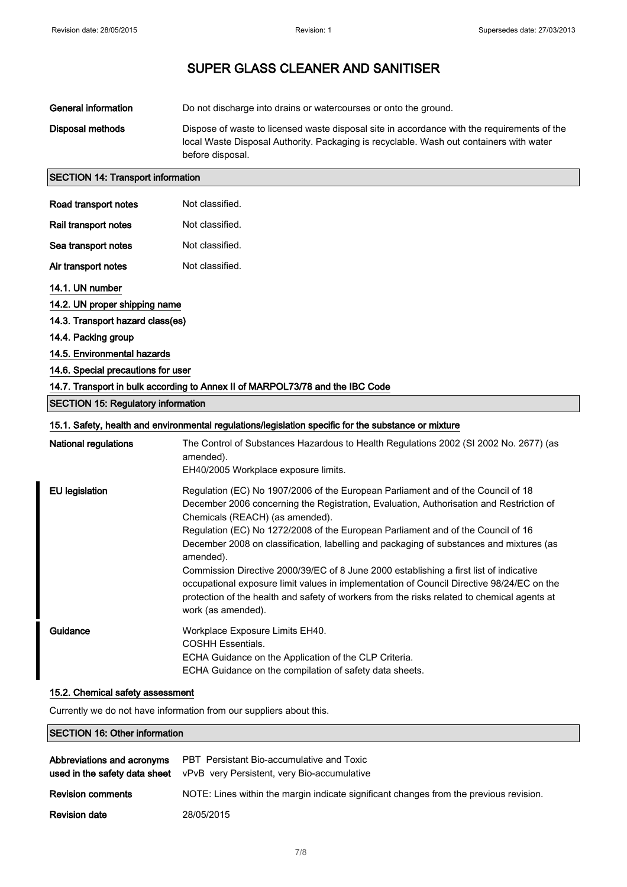| General information | Do not discharge into drains or watercourses or onto the ground.                                                                                                                                           |
|---------------------|------------------------------------------------------------------------------------------------------------------------------------------------------------------------------------------------------------|
| Disposal methods    | Dispose of waste to licensed waste disposal site in accordance with the requirements of the<br>local Waste Disposal Authority. Packaging is recyclable. Wash out containers with water<br>before disposal. |

### SECTION 14: Transport information

| Road transport notes                      | Not classified.                                                                                                                                                                                                                                                                                                                                                                                                                                                                                                                                                                                                                                                                                                        |
|-------------------------------------------|------------------------------------------------------------------------------------------------------------------------------------------------------------------------------------------------------------------------------------------------------------------------------------------------------------------------------------------------------------------------------------------------------------------------------------------------------------------------------------------------------------------------------------------------------------------------------------------------------------------------------------------------------------------------------------------------------------------------|
|                                           |                                                                                                                                                                                                                                                                                                                                                                                                                                                                                                                                                                                                                                                                                                                        |
| Rail transport notes                      | Not classified.                                                                                                                                                                                                                                                                                                                                                                                                                                                                                                                                                                                                                                                                                                        |
| Sea transport notes                       | Not classified.                                                                                                                                                                                                                                                                                                                                                                                                                                                                                                                                                                                                                                                                                                        |
| Air transport notes                       | Not classified.                                                                                                                                                                                                                                                                                                                                                                                                                                                                                                                                                                                                                                                                                                        |
| 14.1. UN number                           |                                                                                                                                                                                                                                                                                                                                                                                                                                                                                                                                                                                                                                                                                                                        |
| 14.2. UN proper shipping name             |                                                                                                                                                                                                                                                                                                                                                                                                                                                                                                                                                                                                                                                                                                                        |
| 14.3. Transport hazard class(es)          |                                                                                                                                                                                                                                                                                                                                                                                                                                                                                                                                                                                                                                                                                                                        |
| 14.4. Packing group                       |                                                                                                                                                                                                                                                                                                                                                                                                                                                                                                                                                                                                                                                                                                                        |
| 14.5. Environmental hazards               |                                                                                                                                                                                                                                                                                                                                                                                                                                                                                                                                                                                                                                                                                                                        |
| 14.6. Special precautions for user        |                                                                                                                                                                                                                                                                                                                                                                                                                                                                                                                                                                                                                                                                                                                        |
|                                           | 14.7. Transport in bulk according to Annex II of MARPOL73/78 and the IBC Code                                                                                                                                                                                                                                                                                                                                                                                                                                                                                                                                                                                                                                          |
| <b>SECTION 15: Regulatory information</b> |                                                                                                                                                                                                                                                                                                                                                                                                                                                                                                                                                                                                                                                                                                                        |
|                                           | 15.1. Safety, health and environmental regulations/legislation specific for the substance or mixture                                                                                                                                                                                                                                                                                                                                                                                                                                                                                                                                                                                                                   |
| National regulations                      | The Control of Substances Hazardous to Health Regulations 2002 (SI 2002 No. 2677) (as<br>amended).<br>EH40/2005 Workplace exposure limits.                                                                                                                                                                                                                                                                                                                                                                                                                                                                                                                                                                             |
| <b>EU</b> legislation                     | Regulation (EC) No 1907/2006 of the European Parliament and of the Council of 18<br>December 2006 concerning the Registration, Evaluation, Authorisation and Restriction of<br>Chemicals (REACH) (as amended).<br>Regulation (EC) No 1272/2008 of the European Parliament and of the Council of 16<br>December 2008 on classification, labelling and packaging of substances and mixtures (as<br>amended).<br>Commission Directive 2000/39/EC of 8 June 2000 establishing a first list of indicative<br>occupational exposure limit values in implementation of Council Directive 98/24/EC on the<br>protection of the health and safety of workers from the risks related to chemical agents at<br>work (as amended). |
| Guidance                                  | Workplace Exposure Limits EH40.<br><b>COSHH Essentials.</b><br>ECHA Guidance on the Application of the CLP Criteria.<br>ECHA Guidance on the compilation of safety data sheets.                                                                                                                                                                                                                                                                                                                                                                                                                                                                                                                                        |

#### 15.2. Chemical safety assessment

Currently we do not have information from our suppliers about this.

## SECTION 16: Other information

|                          | <b>Abbreviations and acronyms</b> PBT Persistant Bio-accumulative and Toxic<br>used in the safety data sheet vPvB very Persistent, very Bio-accumulative |
|--------------------------|----------------------------------------------------------------------------------------------------------------------------------------------------------|
| <b>Revision comments</b> | NOTE: Lines within the margin indicate significant changes from the previous revision.                                                                   |
| <b>Revision date</b>     | 28/05/2015                                                                                                                                               |